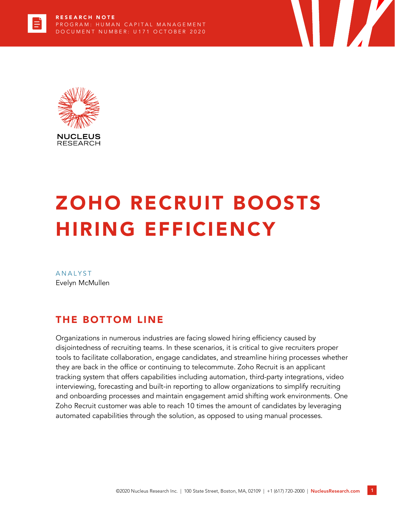

# ZOHO RECRUIT BOOSTS HIRING EFFICIENCY

**ANALYST** Evelyn McMullen

## THE BOTTOM LINE

Organizations in numerous industries are facing slowed hiring efficiency caused by disjointedness of recruiting teams. In these scenarios, it is critical to give recruiters proper tools to facilitate collaboration, engage candidates, and streamline hiring processes whether they are back in the office or continuing to telecommute. Zoho Recruit is an applicant tracking system that offers capabilities including automation, third-party integrations, video interviewing, forecasting and built-in reporting to allow organizations to simplify recruiting and onboarding processes and maintain engagement amid shifting work environments. One Zoho Recruit customer was able to reach 10 times the amount of candidates by leveraging automated capabilities through the solution, as opposed to using manual processes.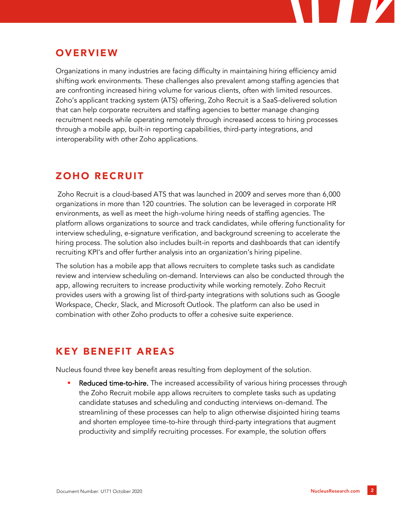

## **OVERVIEW**

Organizations in many industries are facing difficulty in maintaining hiring efficiency amid shifting work environments. These challenges also prevalent among staffing agencies that are confronting increased hiring volume for various clients, often with limited resources. Zoho's applicant tracking system (ATS) offering, Zoho Recruit is a SaaS-delivered solution that can help corporate recruiters and staffing agencies to better manage changing recruitment needs while operating remotely through increased access to hiring processes through a mobile app, built-in reporting capabilities, third-party integrations, and interoperability with other Zoho applications.

# ZOHO RECRUIT

Zoho Recruit is a cloud-based ATS that was launched in 2009 and serves more than 6,000 organizations in more than 120 countries. The solution can be leveraged in corporate HR environments, as well as meet the high-volume hiring needs of staffing agencies. The platform allows organizations to source and track candidates, while offering functionality for interview scheduling, e-signature verification, and background screening to accelerate the hiring process. The solution also includes built-in reports and dashboards that can identify recruiting KPI's and offer further analysis into an organization's hiring pipeline.

The solution has a mobile app that allows recruiters to complete tasks such as candidate review and interview scheduling on-demand. Interviews can also be conducted through the app, allowing recruiters to increase productivity while working remotely. Zoho Recruit provides users with a growing list of third-party integrations with solutions such as Google Workspace, Checkr, Slack, and Microsoft Outlook. The platform can also be used in combination with other Zoho products to offer a cohesive suite experience.

## KEY BENEFIT AREAS

Nucleus found three key benefit areas resulting from deployment of the solution.

Reduced time-to-hire. The increased accessibility of various hiring processes through the Zoho Recruit mobile app allows recruiters to complete tasks such as updating candidate statuses and scheduling and conducting interviews on-demand. The streamlining of these processes can help to align otherwise disjointed hiring teams and shorten employee time-to-hire through third-party integrations that augment productivity and simplify recruiting processes. For example, the solution offers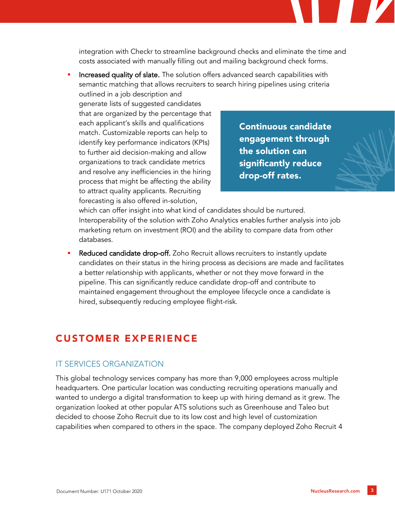integration with Checkr to streamline background checks and eliminate the time and costs associated with manually filling out and mailing background check forms.

Increased quality of slate. The solution offers advanced search capabilities with semantic matching that allows recruiters to search hiring pipelines using criteria outlined in a job description and

generate lists of suggested candidates that are organized by the percentage that each applicant's skills and qualifications match. Customizable reports can help to identify key performance indicators (KPIs) to further aid decision-making and allow organizations to track candidate metrics and resolve any inefficiencies in the hiring process that might be affecting the ability to attract quality applicants. Recruiting forecasting is also offered in-solution,

Continuous candidate engagement through the solution can significantly reduce drop-off rates.

which can offer insight into what kind of candidates should be nurtured. Interoperability of the solution with Zoho Analytics enables further analysis into job marketing return on investment (ROI) and the ability to compare data from other databases.

Reduced candidate drop-off. Zoho Recruit allows recruiters to instantly update candidates on their status in the hiring process as decisions are made and facilitates a better relationship with applicants, whether or not they move forward in the pipeline. This can significantly reduce candidate drop-off and contribute to maintained engagement throughout the employee lifecycle once a candidate is hired, subsequently reducing employee flight-risk.

#### CUSTOMER EXPERIENCE

#### IT SERVICES ORGANIZATION

This global technology services company has more than 9,000 employees across multiple headquarters. One particular location was conducting recruiting operations manually and wanted to undergo a digital transformation to keep up with hiring demand as it grew. The organization looked at other popular ATS solutions such as Greenhouse and Taleo but decided to choose Zoho Recruit due to its low cost and high level of customization capabilities when compared to others in the space. The company deployed Zoho Recruit 4